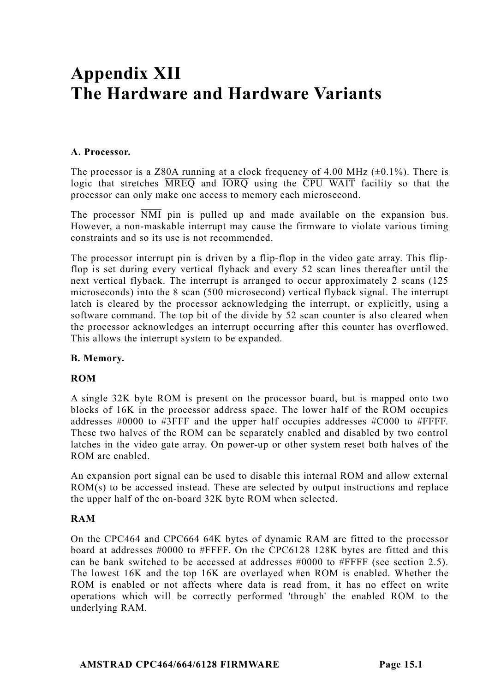# **Appendix XII The Hardware and Hardware Variants**

## **A. Processor.**

The processor is a Z80A running at a clock frequency of 4.00 MHz  $(\pm 0.1\%)$ . There is logic that stretches MREQ and IORQ using the CPU WAIT facility so that the processor can only make one access to memory each microsecond.

The processor NMI pin is pulled up and made available on the expansion bus. However, a non-maskable interrupt may cause the firmware to violate various timing constraints and so its use is not recommended.

The processor interrupt pin is driven by a flip-flop in the video gate array. This flipflop is set during every vertical flyback and every 52 scan lines thereafter until the next vertical flyback. The interrupt is arranged to occur approximately 2 scans (125 microseconds) into the 8 scan (500 microsecond) vertical flyback signal. The interrupt latch is cleared by the processor acknowledging the interrupt, or explicitly, using a software command. The top bit of the divide by 52 scan counter is also cleared when the processor acknowledges an interrupt occurring after this counter has overflowed. This allows the interrupt system to be expanded.

## **B. Memory.**

## **ROM**

A single 32K byte ROM is present on the processor board, but is mapped onto two blocks of 16K in the processor address space. The lower half of the ROM occupies addresses #0000 to #3FFF and the upper half occupies addresses #C000 to #FFFF. These two halves of the ROM can be separately enabled and disabled by two control latches in the video gate array. On power-up or other system reset both halves of the ROM are enabled.

An expansion port signal can be used to disable this internal ROM and allow external ROM(s) to be accessed instead. These are selected by output instructions and replace the upper half of the on-board 32K byte ROM when selected.

## **RAM**

On the CPC464 and CPC664 64K bytes of dynamic RAM are fitted to the processor board at addresses #0000 to #FFFF. On the CPC6128 128K bytes are fitted and this can be bank switched to be accessed at addresses  $\#0000$  to  $\#$ FFFF (see section 2.5). The lowest 16K and the top 16K are overlayed when ROM is enabled. Whether the ROM is enabled or not affects where data is read from, it has no effect on write operations which will be correctly performed 'through' the enabled ROM to the underlying RAM.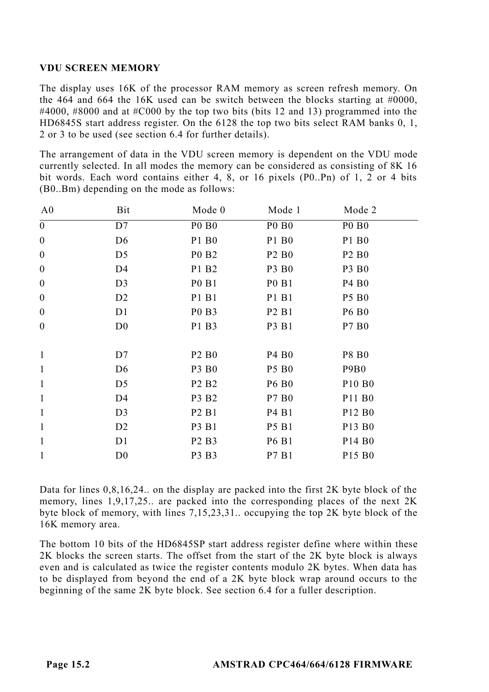## **VDU SCREEN MEMORY**

The display uses 16K of the processor RAM memory as screen refresh memory. On the 464 and 664 the 16K used can be switch between the blocks starting at  $\#0000$ . #4000, #8000 and at #C000 by the top two bits (bits 12 and 13) programmed into the HD6845S start address register. On the 6128 the top two bits select RAM banks 0, 1, 2 or 3 to be used (see section 6.4 for further details).

The arrangement of data in the VDU screen memory is dependent on the VDU mode currently selected. In all modes the memory can be considered as consisting of 8K 16 bit words. Each word contains either 4, 8, or 16 pixels (P0..Pn) of 1, 2 or 4 bits (B0..Bm) depending on the mode as follows:

| A <sub>0</sub>   | Bit            | Mode 0                        | Mode 1                        | Mode 2                         |  |
|------------------|----------------|-------------------------------|-------------------------------|--------------------------------|--|
| $\boldsymbol{0}$ | D7             | <b>PO BO</b>                  | <b>PO BO</b>                  | <b>PO BO</b>                   |  |
| $\boldsymbol{0}$ | D <sub>6</sub> | P1 B <sub>0</sub>             | P1 B <sub>0</sub>             | P1 B <sub>0</sub>              |  |
| $\boldsymbol{0}$ | D5             | P <sub>0</sub> B <sub>2</sub> | P <sub>2</sub> B <sub>0</sub> | P <sub>2</sub> B <sub>0</sub>  |  |
| $\boldsymbol{0}$ | D4             | P1 B2                         | P3 B <sub>0</sub>             | P3 B <sub>0</sub>              |  |
| $\boldsymbol{0}$ | D <sub>3</sub> | P <sub>0</sub> B <sub>1</sub> | P <sub>0</sub> B <sub>1</sub> | P <sub>4</sub> B <sub>0</sub>  |  |
| $\boldsymbol{0}$ | D <sub>2</sub> | P1 B1                         | P1 B1                         | <b>P5 B0</b>                   |  |
| $\boldsymbol{0}$ | D1             | P <sub>0</sub> B <sub>3</sub> | P <sub>2</sub> B <sub>1</sub> | <b>P6 B0</b>                   |  |
| $\mathbf{0}$     | D <sub>0</sub> | P1 B3                         | P3 B1                         | P7 B <sub>0</sub>              |  |
|                  |                |                               |                               |                                |  |
| $\mathbf{1}$     | D7             | P <sub>2</sub> B <sub>0</sub> | P <sub>4</sub> B <sub>0</sub> | <b>P8 B0</b>                   |  |
| $\mathbf{1}$     | D <sub>6</sub> | P3 B <sub>0</sub>             | <b>P5 B0</b>                  | P9B <sub>0</sub>               |  |
| $\mathbf{1}$     | D5             | P <sub>2</sub> B <sub>2</sub> | <b>P6 B0</b>                  | P <sub>10</sub> B <sub>0</sub> |  |
| $\mathbf{1}$     | D4             | P3 B2                         | P7 B0                         | P <sub>11</sub> B <sub>0</sub> |  |
| $\mathbf{1}$     | D <sub>3</sub> | P <sub>2</sub> B <sub>1</sub> | P4 B1                         | P <sub>12</sub> B <sub>0</sub> |  |
| $\mathbf{1}$     | D <sub>2</sub> | P3 B1                         | <b>P5 B1</b>                  | P <sub>13</sub> B <sub>0</sub> |  |
| $\mathbf{1}$     | D1             | P <sub>2</sub> B <sub>3</sub> | <b>P6 B1</b>                  | P <sub>14</sub> B <sub>0</sub> |  |
| $\mathbf{1}$     | D <sub>0</sub> | P3 B3                         | P7 B1                         | P <sub>15</sub> B <sub>0</sub> |  |

Data for lines 0,8,16,24.. on the display are packed into the first 2K byte block of the memory, lines 1,9,17,25.. are packed into the corresponding places of the next 2K byte block of memory, with lines 7,15,23,31.. occupying the top 2K byte block of the 16K memory area.

The bottom 10 bits of the HD6845SP start address register define where within these 2K blocks the screen starts. The offset from the start of the 2K byte block is always even and is calculated as twice the register contents modulo 2K bytes. When data has to be displayed from beyond the end of a 2K byte block wrap around occurs to the beginning of the same 2K byte block. See section 6.4 for a fuller description.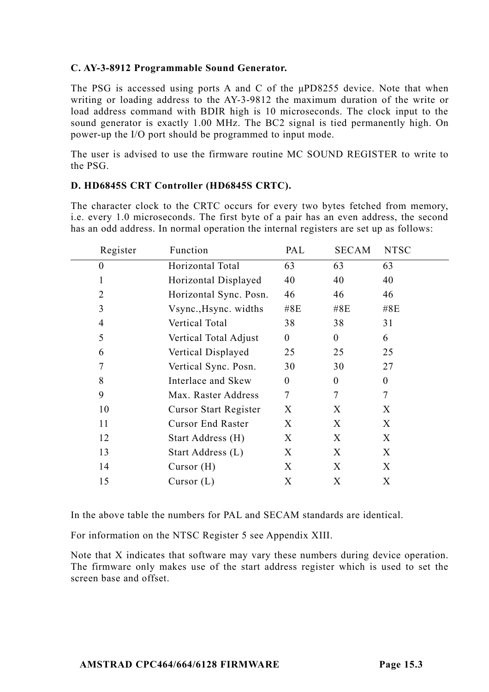## **C. AY-3-8912 Programmable Sound Generator.**

The PSG is accessed using ports A and C of the μPD8255 device. Note that when writing or loading address to the AY-3-9812 the maximum duration of the write or load address command with BDIR high is 10 microseconds. The clock input to the sound generator is exactly 1.00 MHz. The BC2 signal is tied permanently high. On power-up the I/O port should be programmed to input mode.

The user is advised to use the firmware routine MC SOUND REGISTER to write to the PSG.

## **D. HD6845S CRT Controller (HD6845S CRTC).**

The character clock to the CRTC occurs for every two bytes fetched from memory, i.e. every 1.0 microseconds. The first byte of a pair has an even address, the second has an odd address. In normal operation the internal registers are set up as follows:

| Register | Function                 | PAL      | SECAM    | <b>NTSC</b> |
|----------|--------------------------|----------|----------|-------------|
| $\theta$ | Horizontal Total         | 63       | 63       | 63          |
|          | Horizontal Displayed     | 40       | 40       | 40          |
| 2        | Horizontal Sync. Posn.   | 46       | 46       | 46          |
| 3        | Vsync., Hsync. widths    | #8E      | #8E      | #8E         |
| 4        | Vertical Total           | 38       | 38       | 31          |
| 5        | Vertical Total Adjust    | $\theta$ | $\theta$ | 6           |
| 6        | Vertical Displayed       | 25       | 25       | 25          |
|          | Vertical Sync. Posn.     | 30       | 30       | 27          |
| 8        | Interlace and Skew       | $\theta$ | $\theta$ | $\theta$    |
| 9        | Max. Raster Address      | 7        | 7        | 7           |
| 10       | Cursor Start Register    | X        | X        | X           |
| 11       | <b>Cursor End Raster</b> | X        | X        | X           |
| 12       | Start Address (H)        | X        | X        | X           |
| 13       | Start Address (L)        | X        | X        | X           |
| 14       | Cursor $(H)$             | X        | X        | X           |
| 15       | Cursor $(L)$             | X        | X        | X           |
|          |                          |          |          |             |

In the above table the numbers for PAL and SECAM standards are identical.

For information on the NTSC Register 5 see Appendix XIII.

Note that X indicates that software may vary these numbers during device operation. The firmware only makes use of the start address register which is used to set the screen base and offset.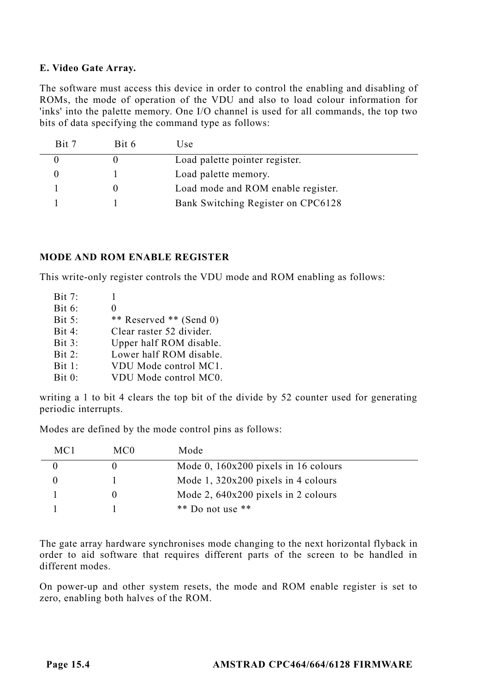## **E. Video Gate Array.**

The software must access this device in order to control the enabling and disabling of ROMs, the mode of operation of the VDU and also to load colour information for 'inks' into the palette memory. One I/O channel is used for all commands, the top two bits of data specifying the command type as follows:

| Bit 7 | Bit 6 | Use.                               |
|-------|-------|------------------------------------|
|       |       | Load palette pointer register.     |
|       |       | Load palette memory.               |
|       |       | Load mode and ROM enable register. |
|       |       | Bank Switching Register on CPC6128 |

## **MODE AND ROM ENABLE REGISTER**

This write-only register controls the VDU mode and ROM enabling as follows:

| Bit 7:   |                          |
|----------|--------------------------|
| Bit $6:$ | 0                        |
| Bit 5:   | ** Reserved ** (Send 0)  |
| Bit 4:   | Clear raster 52 divider. |
| Bit 3:   | Upper half ROM disable.  |
| Bit 2:   | Lower half ROM disable.  |
| Bit 1:   | VDU Mode control MC1.    |
| Bit 0:   | VDU Mode control MC0.    |

writing a 1 to bit 4 clears the top bit of the divide by 52 counter used for generating periodic interrupts.

Modes are defined by the mode control pins as follows:

| MC1 | MC <sub>0</sub> | Mode                                   |  |
|-----|-----------------|----------------------------------------|--|
|     |                 | Mode 0, $160x200$ pixels in 16 colours |  |
|     |                 | Mode $1, 320x200$ pixels in 4 colours  |  |
|     |                 | Mode 2, $640x200$ pixels in 2 colours  |  |
|     |                 | $**$ Do not use $**$                   |  |

The gate array hardware synchronises mode changing to the next horizontal flyback in order to aid software that requires different parts of the screen to be handled in different modes.

On power-up and other system resets, the mode and ROM enable register is set to zero, enabling both halves of the ROM.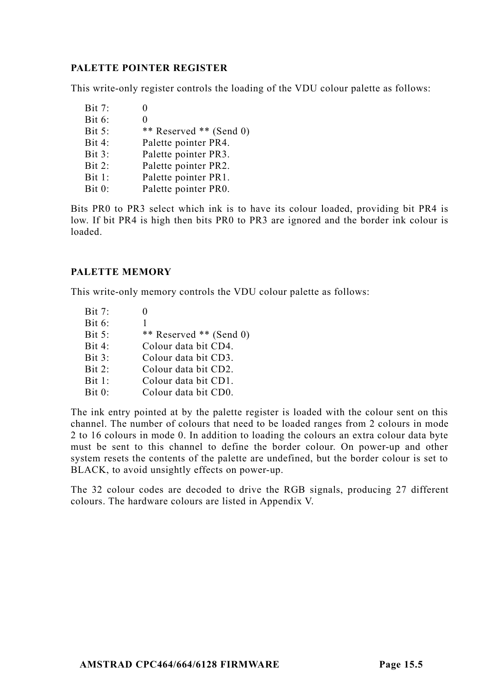# **PALETTE POINTER REGISTER**

This write-only register controls the loading of the VDU colour palette as follows:

 $Bit 7: 0$ Bit 6: 0 Bit 5: \*\* Reserved \*\* (Send 0)<br>Bit 4: Palette pointer PR4 Palette pointer PR4. Bit 3: Palette pointer PR3. Bit 2: Palette pointer PR2. Bit 1: Palette pointer PR1. Bit 0: Palette pointer PR0.

Bits PR0 to PR3 select which ink is to have its colour loaded, providing bit PR4 is low. If bit PR4 is high then bits PR0 to PR3 are ignored and the border ink colour is loaded.

# **PALETTE MEMORY**

This write-only memory controls the VDU colour palette as follows:

 $\text{Bit } 7$  0 Bit 6: 1 Bit 5: \*\* Reserved \*\* (Send 0) Bit 4: Colour data bit CD4. Bit 3: Colour data bit CD3. Bit 2: Colour data bit CD2. Bit 1: Colour data bit CD1. Bit 0: Colour data bit CD0.

The ink entry pointed at by the palette register is loaded with the colour sent on this channel. The number of colours that need to be loaded ranges from 2 colours in mode 2 to 16 colours in mode 0. In addition to loading the colours an extra colour data byte must be sent to this channel to define the border colour. On power-up and other system resets the contents of the palette are undefined, but the border colour is set to BLACK, to avoid unsightly effects on power-up.

The 32 colour codes are decoded to drive the RGB signals, producing 27 different colours. The hardware colours are listed in Appendix V.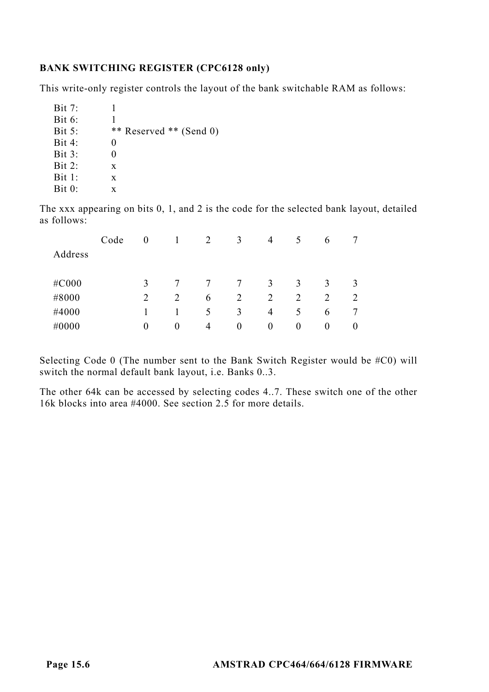# **BANK SWITCHING REGISTER (CPC6128 only)**

This write-only register controls the layout of the bank switchable RAM as follows:

| Bit 7:           | ı                       |
|------------------|-------------------------|
| Bit 6:           |                         |
| Bit 5:           | ** Reserved ** (Send 0) |
| Bit 4:           | 0                       |
| Bit 3:           | 0                       |
| $\text{Bit } 2:$ | X                       |
| Bit 1:           | X                       |
| Bit 0:           | x                       |

The xxx appearing on bits 0, 1, and 2 is the code for the selected bank layout, detailed as follows:

|         | Code | 0        |   | 2 | 3        | 4        | 5        | 6        |          |
|---------|------|----------|---|---|----------|----------|----------|----------|----------|
| Address |      |          |   |   |          |          |          |          |          |
|         |      |          |   |   |          |          |          |          |          |
| #C000   |      | 3        |   |   | 7        | 3        | 3        | 3        | 3        |
| #8000   |      | 2        |   | 6 | 2        | 2        | 2        | 2        | 2        |
| #4000   |      |          |   | 5 | 3        | 4        | 5        | 6        |          |
| #0000   |      | $\theta$ | 0 | 4 | $\theta$ | $\bf{0}$ | $\theta$ | $\theta$ | $\bf{0}$ |
|         |      |          |   |   |          |          |          |          |          |

Selecting Code 0 (The number sent to the Bank Switch Register would be #C0) will switch the normal default bank layout, i.e. Banks 0..3.

The other 64k can be accessed by selecting codes 4..7. These switch one of the other 16k blocks into area #4000. See section 2.5 for more details.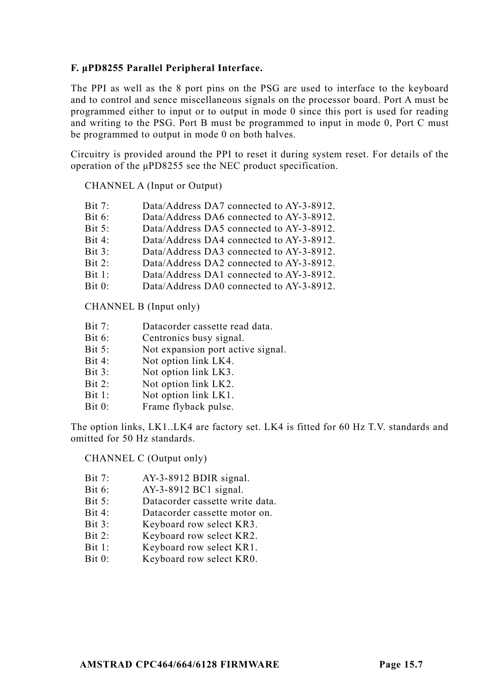## **F. μPD8255 Parallel Peripheral Interface.**

The PPI as well as the 8 port pins on the PSG are used to interface to the keyboard and to control and sence miscellaneous signals on the processor board. Port A must be programmed either to input or to output in mode 0 since this port is used for reading and writing to the PSG. Port B must be programmed to input in mode 0, Port C must be programmed to output in mode 0 on both halves.

Circuitry is provided around the PPI to reset it during system reset. For details of the operation of the μPD8255 see the NEC product specification.

## CHANNEL A (Input or Output)

| Bit $6$ :<br>Data/Address DA6 connected to AY-3-8912. |  |
|-------------------------------------------------------|--|
|                                                       |  |
| Bit $5:$<br>Data/Address DA5 connected to AY-3-8912.  |  |
| Bit 4:<br>Data/Address DA4 connected to AY-3-8912.    |  |
| Bit 3:<br>Data/Address DA3 connected to AY-3-8912.    |  |
| Bit 2:<br>Data/Address DA2 connected to AY-3-8912.    |  |
| Bit 1:<br>Data/Address DA1 connected to AY-3-8912.    |  |
| Bit 0:<br>Data/Address DA0 connected to AY-3-8912.    |  |

CHANNEL B (Input only)

- Bit 7: Datacorder cassette read data.
- Bit 6: Centronics busy signal.
- Bit 5: Not expansion port active signal.
- Bit 4: Not option link LK4.
- Bit 3: Not option link LK3.
- Bit 2: Not option link LK2.
- Bit 1: Not option link LK1.
- Bit 0: Frame flyback pulse.

The option links, LK1..LK4 are factory set. LK4 is fitted for 60 Hz T.V. standards and omitted for 50 Hz standards.

CHANNEL C (Output only)

- Bit 7: AY-3-8912 BDIR signal.
- Bit 6: AY-3-8912 BC1 signal.
- Bit 5: Datacorder cassette write data.
- Bit 4: Datacorder cassette motor on.
- Bit 3: Keyboard row select KR3.
- Bit 2: Keyboard row select KR2.
- Bit 1: Keyboard row select KR1.
- Bit 0: Keyboard row select KR0.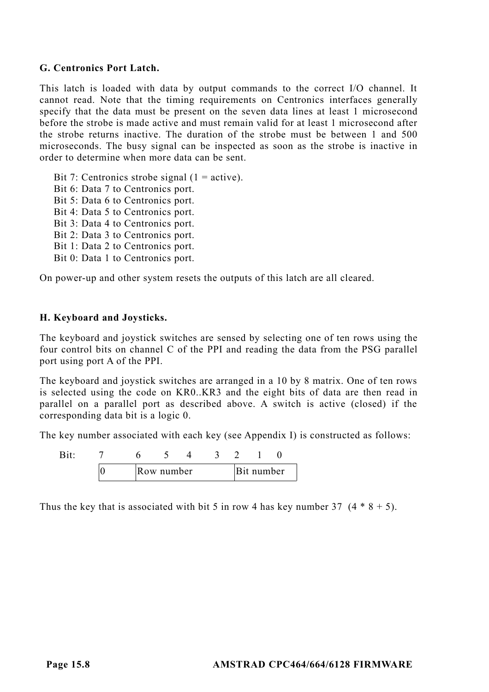## **G. Centronics Port Latch.**

This latch is loaded with data by output commands to the correct I/O channel. It cannot read. Note that the timing requirements on Centronics interfaces generally specify that the data must be present on the seven data lines at least 1 microsecond before the strobe is made active and must remain valid for at least 1 microsecond after the strobe returns inactive. The duration of the strobe must be between 1 and 500 microseconds. The busy signal can be inspected as soon as the strobe is inactive in order to determine when more data can be sent.

Bit 7: Centronics strobe signal  $(1 = active)$ . Bit 6: Data 7 to Centronics port. Bit 5: Data 6 to Centronics port. Bit 4: Data 5 to Centronics port. Bit 3: Data 4 to Centronics port. Bit 2: Data 3 to Centronics port. Bit 1: Data 2 to Centronics port. Bit 0: Data 1 to Centronics port.

On power-up and other system resets the outputs of this latch are all cleared.

## **H. Keyboard and Joysticks.**

The keyboard and joystick switches are sensed by selecting one of ten rows using the four control bits on channel C of the PPI and reading the data from the PSG parallel port using port A of the PPI.

The keyboard and joystick switches are arranged in a 10 by 8 matrix. One of ten rows is selected using the code on KR0..KR3 and the eight bits of data are then read in parallel on a parallel port as described above. A switch is active (closed) if the corresponding data bit is a logic 0.

The key number associated with each key (see Appendix I) is constructed as follows:

|  | .ow number |  | t number |  |
|--|------------|--|----------|--|

Thus the key that is associated with bit 5 in row 4 has key number 37  $(4 * 8 + 5)$ .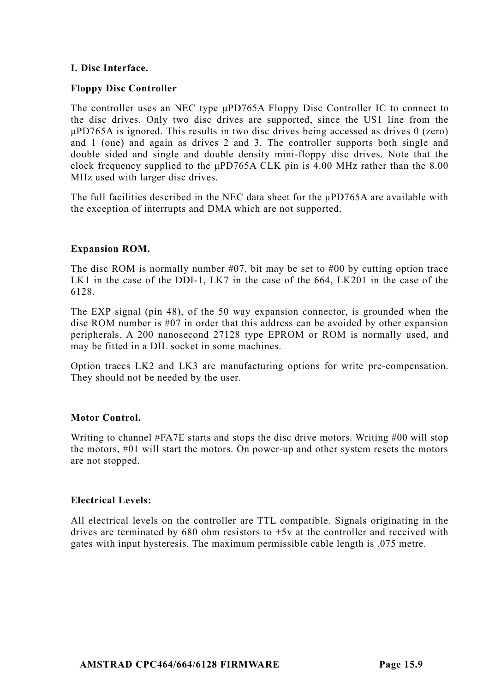## **I. Disc Interface.**

## **Floppy Disc Controller**

The controller uses an NEC type μPD765A Floppy Disc Controller IC to connect to the disc drives. Only two disc drives are supported, since the US1 line from the μPD765A is ignored. This results in two disc drives being accessed as drives 0 (zero) and 1 (one) and again as drives 2 and 3. The controller supports both single and double sided and single and double density mini-floppy disc drives. Note that the clock frequency supplied to the μPD765A CLK pin is 4.00 MHz rather than the 8.00 MHz used with larger disc drives.

The full facilities described in the NEC data sheet for the  $\mu$ PD765A are available with the exception of interrupts and DMA which are not supported.

# **Expansion ROM.**

The disc ROM is normally number  $#07$ , bit may be set to  $#00$  by cutting option trace LK1 in the case of the DDI-1, LK7 in the case of the 664, LK201 in the case of the 6128.

The EXP signal (pin 48), of the 50 way expansion connector, is grounded when the disc ROM number is #07 in order that this address can be avoided by other expansion peripherals. A 200 nanosecond 27128 type EPROM or ROM is normally used, and may be fitted in a DIL socket in some machines.

Option traces LK2 and LK3 are manufacturing options for write pre-compensation. They should not be needed by the user.

# **Motor Control.**

Writing to channel #FA7E starts and stops the disc drive motors. Writing #00 will stop the motors, #01 will start the motors. On power-up and other system resets the motors are not stopped.

## **Electrical Levels:**

All electrical levels on the controller are TTL compatible. Signals originating in the drives are terminated by 680 ohm resistors to +5v at the controller and received with gates with input hysteresis. The maximum permissible cable length is .075 metre.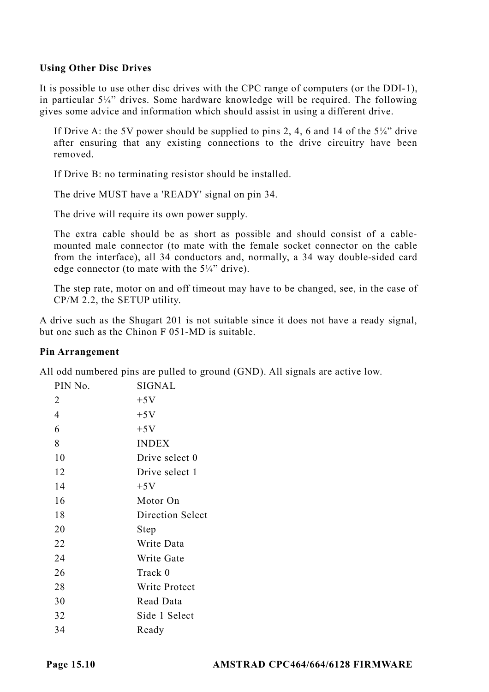## **Using Other Disc Drives**

It is possible to use other disc drives with the CPC range of computers (or the DDI-1), in particular  $5\frac{1}{4}$ " drives. Some hardware knowledge will be required. The following gives some advice and information which should assist in using a different drive.

If Drive A: the 5V power should be supplied to pins 2, 4, 6 and 14 of the 5¼" drive after ensuring that any existing connections to the drive circuitry have been removed.

If Drive B: no terminating resistor should be installed.

The drive MUST have a 'READY' signal on pin 34.

The drive will require its own power supply.

The extra cable should be as short as possible and should consist of a cablemounted male connector (to mate with the female socket connector on the cable from the interface), all 34 conductors and, normally, a 34 way double-sided card edge connector (to mate with the 5¼" drive).

The step rate, motor on and off timeout may have to be changed, see, in the case of CP/M 2.2, the SETUP utility.

A drive such as the Shugart 201 is not suitable since it does not have a ready signal, but one such as the Chinon F 051-MD is suitable.

#### **Pin Arrangement**

All odd numbered pins are pulled to ground (GND). All signals are active low.

| PIN No. | SIGNAL           |
|---------|------------------|
| 2       | $+5V$            |
| 4       | $+5V$            |
| 6       | $+5V$            |
| 8       | <b>INDEX</b>     |
| 10      | Drive select 0   |
| 12      | Drive select 1   |
| 14      | $+5V$            |
| 16      | Motor On         |
| 18      | Direction Select |
| 20      | Step             |
| 22      | Write Data       |
| 24      | Write Gate       |
| 26      | Track 0          |
| 28      | Write Protect    |
| 30      | Read Data        |
| 32      | Side 1 Select    |
| 34      | Ready            |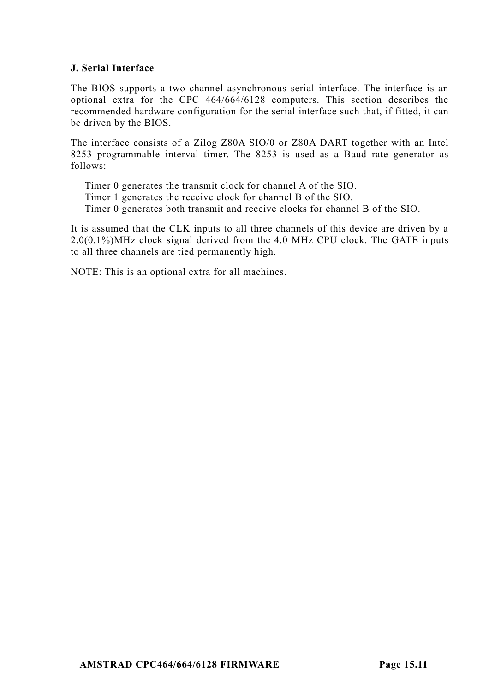## **J. Serial Interface**

The BIOS supports a two channel asynchronous serial interface. The interface is an optional extra for the CPC 464/664/6128 computers. This section describes the recommended hardware configuration for the serial interface such that, if fitted, it can be driven by the BIOS.

The interface consists of a Zilog Z80A SIO/0 or Z80A DART together with an Intel 8253 programmable interval timer. The 8253 is used as a Baud rate generator as follows:

Timer 0 generates the transmit clock for channel A of the SIO.

Timer 1 generates the receive clock for channel B of the SIO.

Timer 0 generates both transmit and receive clocks for channel B of the SIO.

It is assumed that the CLK inputs to all three channels of this device are driven by a 2.0(0.1%)MHz clock signal derived from the 4.0 MHz CPU clock. The GATE inputs to all three channels are tied permanently high.

NOTE: This is an optional extra for all machines.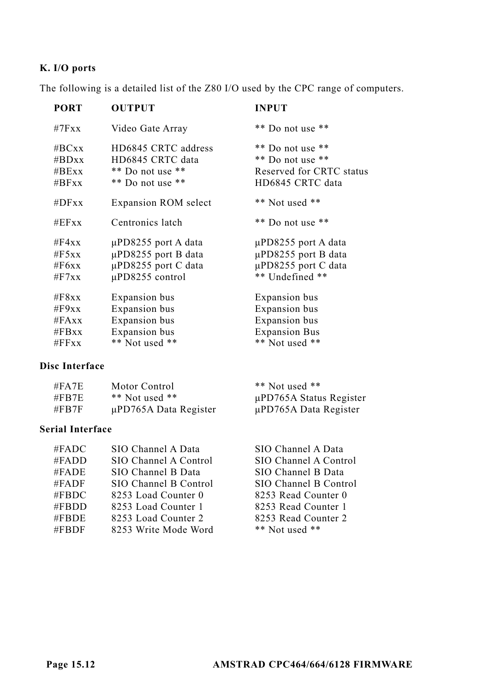# **K. I/O ports**

The following is a detailed list of the Z80 I/O used by the CPC range of computers.

| <b>PORT</b> | <b>OUTPUT</b>               | <b>INPUT</b>             |
|-------------|-----------------------------|--------------------------|
| #7Fx        | Video Gate Array            | ** Do not use **         |
| $\#$ BCxx   | HD6845 CRTC address         | ** Do not use **         |
| # $BDxx$    | HD6845 CRTC data            | ** Do not use **         |
| $\#$ BExx   | ** Do not use **            | Reserved for CRTC status |
| $\#BFxx$    | ** Do not use **            | HD6845 CRTC data         |
| # $DFxx$    | <b>Expansion ROM</b> select | ** Not used **           |
| #EFxx       | Centronics latch            | ** Do not use **         |
| #F4xx       | µPD8255 port A data         | µPD8255 port A data      |
| $\#F5xx$    | µPD8255 port B data         | µPD8255 port B data      |
| #F6xx       | µPD8255 port C data         | µPD8255 port C data      |
| $\#$ F7xx   | µPD8255 control             | ** Undefined **          |
| $\#F8xx$    | Expansion bus               | Expansion bus            |
| #F9xx       | Expansion bus               | Expansion bus            |
| #FAxx       | Expansion bus               | Expansion bus            |
| #FBxx       | Expansion bus               | <b>Expansion Bus</b>     |
| #FFxx       | ** Not used **              | ** Not used **           |

#### **Disc Interface**

| #FA7E   | Motor Control              | $**$ Not used $**$         |
|---------|----------------------------|----------------------------|
| #FB7E   | $**$ Not used $**$         | µPD765A Status Register    |
| $\#FBT$ | $\mu$ PD765A Data Register | $\mu$ PD765A Data Register |

## **Serial Interface**

| SIO Channel A Data    |
|-----------------------|
| SIO Channel A Control |
| SIO Channel B Data    |
| SIO Channel B Control |
| 8253 Load Counter 0   |
| 8253 Load Counter 1   |
| 8253 Load Counter 2   |
| 8253 Write Mode Word  |
|                       |

SIO Channel A Data SIO Channel A Control SIO Channel B Data SIO Channel B Control 8253 Read Counter 0 8253 Read Counter 1 8253 Read Counter 2

\*\* Not used \*\*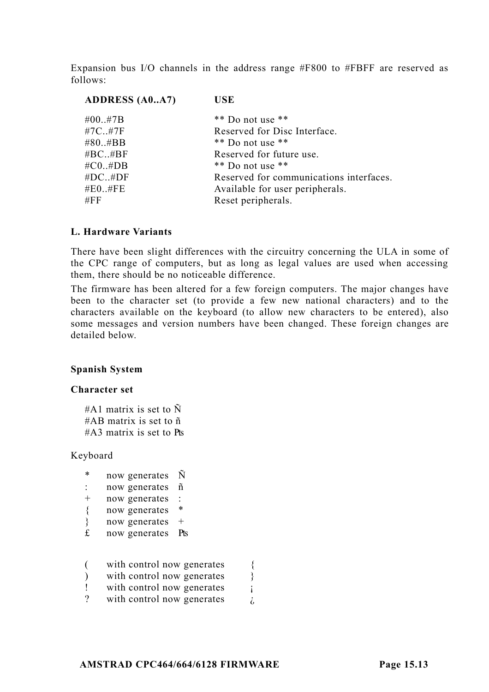Expansion bus I/O channels in the address range #F800 to #FBFF are reserved as follows:

| <b>ADDRESS</b> (A0A7) | <b>USE</b>                              |
|-----------------------|-----------------------------------------|
| #00#7B                | $**$ Do not use $**$                    |
| $#7C.$ $#7F$          | Reserved for Disc Interface.            |
| $\#80.$ $\#BB$        | $**$ Do not use $**$                    |
| $\#$ BC $\#$ BF       | Reserved for future use.                |
| $\#CO. \#DB$          | $**$ Do not use $**$                    |
| #DC#DF                | Reserved for communications interfaces. |
| #E0.,#FE              | Available for user peripherals.         |
| #FF                   | Reset peripherals.                      |
|                       |                                         |

#### **L. Hardware Variants**

There have been slight differences with the circuitry concerning the ULA in some of the CPC range of computers, but as long as legal values are used when accessing them, there should be no noticeable difference.

The firmware has been altered for a few foreign computers. The major changes have been to the character set (to provide a few new national characters) and to the characters available on the keyboard (to allow new characters to be entered), also some messages and version numbers have been changed. These foreign changes are detailed below.

#### **Spanish System**

#### **Character set**

#A1 matrix is set to  $\tilde{N}$ #AB matrix is set to ñ  $#A3$  matrix is set to Pts

#### Keyboard

- \* now generates Ñ
- : now generates ñ
- + now generates :
- { now generates \*
- } now generates +
- £ now generates Pts
- ( with control now generates {
- ) with control now generates  $\}$
- ! with control now generates  $\cdot$
- ? with control now generates  $\lambda$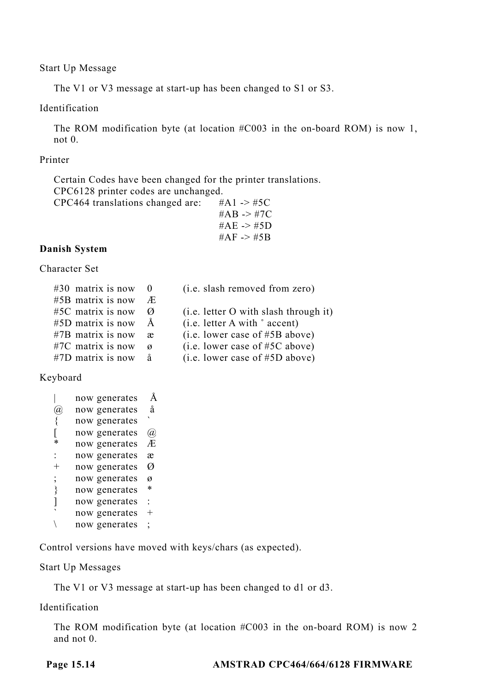Start Up Message

The V1 or V3 message at start-up has been changed to S1 or S3.

## Identification

The ROM modification byte (at location #C003 in the on-board ROM) is now 1, not 0.

## Printer

Certain Codes have been changed for the printer translations. CPC6128 printer codes are unchanged.

| CPC464 translations changed are: | #A1 -> #5C            |
|----------------------------------|-----------------------|
|                                  | #AB -> #7C            |
|                                  | #AE $\rightarrow$ #5D |
|                                  | #AF -> #5B            |
|                                  |                       |

## **Danish System**

Character Set

| $#30$ matrix is now 0 |   | (i.e. slash removed from zero)          |
|-----------------------|---|-----------------------------------------|
| $#5B$ matrix is now   | Æ |                                         |
| $#5C$ matrix is now   | Ø | $(i.e.$ letter O with slash through it) |
| $#5D$ matrix is now   | A | (i.e. letter A with $\degree$ accent)   |
| $#7B$ matrix is now   | æ | (i.e. lower case of #5B above)          |
| $#7C$ matrix is now   | ø | (i.e. lower case of #5C above)          |
| $\#7D$ matrix is now  | å | (i.e. lower case of #5D above)          |

## Keyboard

|          | now generates | Å    |
|----------|---------------|------|
|          |               |      |
| $\alpha$ | now generates | å    |
| {        | now generates |      |
|          | now generates | Ø)   |
| *        | now generates | Æ    |
|          | now generates | æ    |
| $^+$     | now generates | Ø    |
| ;        | now generates | ø    |
| ∤        | now generates | *    |
|          | now generates | ÷    |
|          | now generates | $^+$ |
|          | now generates | :    |

Control versions have moved with keys/chars (as expected).

Start Up Messages

The V1 or V3 message at start-up has been changed to d1 or d3.

## Identification

The ROM modification byte (at location #C003 in the on-board ROM) is now 2 and not 0.